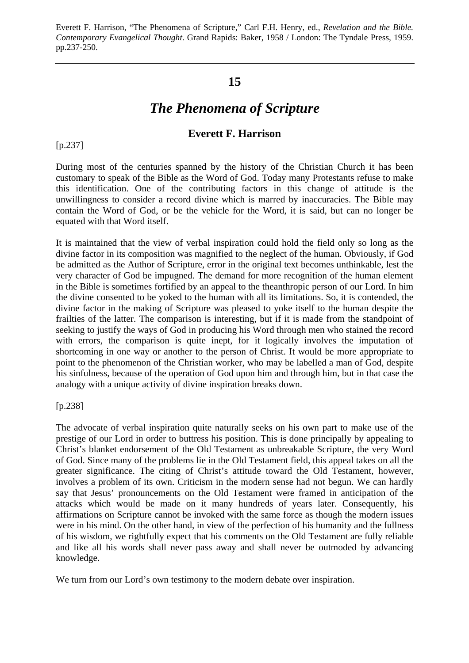# **15**

# *The Phenomena of Scripture*

## **Everett F. Harrison**

#### [p.237]

During most of the centuries spanned by the history of the Christian Church it has been customary to speak of the Bible as the Word of God. Today many Protestants refuse to make this identification. One of the contributing factors in this change of attitude is the unwillingness to consider a record divine which is marred by inaccuracies. The Bible may contain the Word of God, or be the vehicle for the Word, it is said, but can no longer be equated with that Word itself.

It is maintained that the view of verbal inspiration could hold the field only so long as the divine factor in its composition was magnified to the neglect of the human. Obviously, if God be admitted as the Author of Scripture, error in the original text becomes unthinkable, lest the very character of God be impugned. The demand for more recognition of the human element in the Bible is sometimes fortified by an appeal to the theanthropic person of our Lord. In him the divine consented to be yoked to the human with all its limitations. So, it is contended, the divine factor in the making of Scripture was pleased to yoke itself to the human despite the frailties of the latter. The comparison is interesting, but if it is made from the standpoint of seeking to justify the ways of God in producing his Word through men who stained the record with errors, the comparison is quite inept, for it logically involves the imputation of shortcoming in one way or another to the person of Christ. It would be more appropriate to point to the phenomenon of the Christian worker, who may be labelled a man of God, despite his sinfulness, because of the operation of God upon him and through him, but in that case the analogy with a unique activity of divine inspiration breaks down.

#### [p.238]

The advocate of verbal inspiration quite naturally seeks on his own part to make use of the prestige of our Lord in order to buttress his position. This is done principally by appealing to Christ's blanket endorsement of the Old Testament as unbreakable Scripture, the very Word of God. Since many of the problems lie in the Old Testament field, this appeal takes on all the greater significance. The citing of Christ's attitude toward the Old Testament, however, involves a problem of its own. Criticism in the modern sense had not begun. We can hardly say that Jesus' pronouncements on the Old Testament were framed in anticipation of the attacks which would be made on it many hundreds of years later. Consequently, his affirmations on Scripture cannot be invoked with the same force as though the modern issues were in his mind. On the other hand, in view of the perfection of his humanity and the fullness of his wisdom, we rightfully expect that his comments on the Old Testament are fully reliable and like all his words shall never pass away and shall never be outmoded by advancing knowledge.

We turn from our Lord's own testimony to the modern debate over inspiration.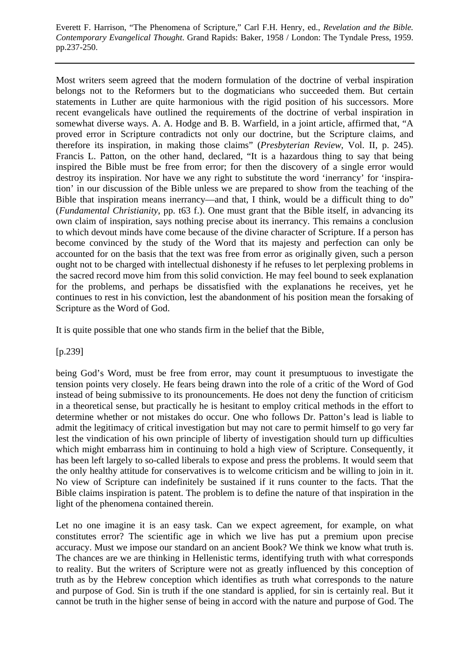Most writers seem agreed that the modern formulation of the doctrine of verbal inspiration belongs not to the Reformers but to the dogmaticians who succeeded them. But certain statements in Luther are quite harmonious with the rigid position of his successors. More recent evangelicals have outlined the requirements of the doctrine of verbal inspiration in somewhat diverse ways. A. A. Hodge and B. B. Warfield, in a joint article, affirmed that, "A proved error in Scripture contradicts not only our doctrine, but the Scripture claims, and therefore its inspiration, in making those claims" (*Presbyterian Review*, Vol. II, p. 245). Francis L. Patton, on the other hand, declared, "It is a hazardous thing to say that being inspired the Bible must be free from error; for then the discovery of a single error would destroy its inspiration. Nor have we any right to substitute the word 'inerrancy' for 'inspiration' in our discussion of the Bible unless we are prepared to show from the teaching of the Bible that inspiration means inerrancy—and that, I think, would be a difficult thing to do" (*Fundamental Christianity*, pp. t63 f.). One must grant that the Bible itself, in advancing its own claim of inspiration, says nothing precise about its inerrancy. This remains a conclusion to which devout minds have come because of the divine character of Scripture. If a person has become convinced by the study of the Word that its majesty and perfection can only be accounted for on the basis that the text was free from error as originally given, such a person ought not to be charged with intellectual dishonesty if he refuses to let perplexing problems in the sacred record move him from this solid conviction. He may feel bound to seek explanation for the problems, and perhaps be dissatisfied with the explanations he receives, yet he continues to rest in his conviction, lest the abandonment of his position mean the forsaking of Scripture as the Word of God.

It is quite possible that one who stands firm in the belief that the Bible,

[p.239]

being God's Word, must be free from error, may count it presumptuous to investigate the tension points very closely. He fears being drawn into the role of a critic of the Word of God instead of being submissive to its pronouncements. He does not deny the function of criticism in a theoretical sense, but practically he is hesitant to employ critical methods in the effort to determine whether or not mistakes do occur. One who follows Dr. Patton's lead is liable to admit the legitimacy of critical investigation but may not care to permit himself to go very far lest the vindication of his own principle of liberty of investigation should turn up difficulties which might embarrass him in continuing to hold a high view of Scripture. Consequently, it has been left largely to so-called liberals to expose and press the problems. It would seem that the only healthy attitude for conservatives is to welcome criticism and be willing to join in it. No view of Scripture can indefinitely be sustained if it runs counter to the facts. That the Bible claims inspiration is patent. The problem is to define the nature of that inspiration in the light of the phenomena contained therein.

Let no one imagine it is an easy task. Can we expect agreement, for example, on what constitutes error? The scientific age in which we live has put a premium upon precise accuracy. Must we impose our standard on an ancient Book? We think we know what truth is. The chances are we are thinking in Hellenistic terms, identifying truth with what corresponds to reality. But the writers of Scripture were not as greatly influenced by this conception of truth as by the Hebrew conception which identifies as truth what corresponds to the nature and purpose of God. Sin is truth if the one standard is applied, for sin is certainly real. But it cannot be truth in the higher sense of being in accord with the nature and purpose of God. The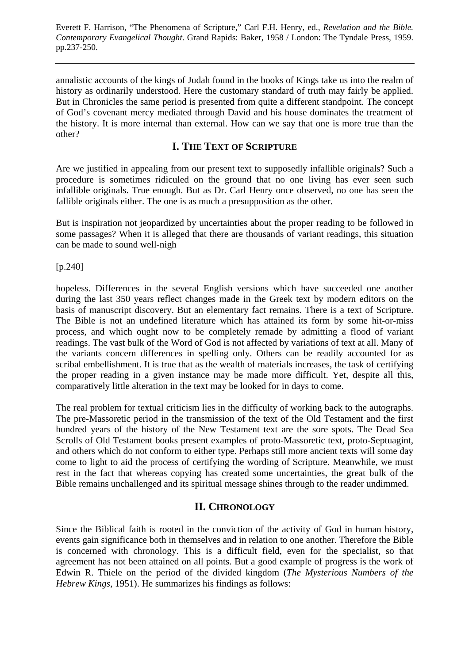annalistic accounts of the kings of Judah found in the books of Kings take us into the realm of history as ordinarily understood. Here the customary standard of truth may fairly be applied. But in Chronicles the same period is presented from quite a different standpoint. The concept of God's covenant mercy mediated through David and his house dominates the treatment of the history. It is more internal than external. How can we say that one is more true than the other?

## **I. THE TEXT OF SCRIPTURE**

Are we justified in appealing from our present text to supposedly infallible originals? Such a procedure is sometimes ridiculed on the ground that no one living has ever seen such infallible originals. True enough. But as Dr. Carl Henry once observed, no one has seen the fallible originals either. The one is as much a presupposition as the other.

But is inspiration not jeopardized by uncertainties about the proper reading to be followed in some passages? When it is alleged that there are thousands of variant readings, this situation can be made to sound well-nigh

[p.240]

hopeless. Differences in the several English versions which have succeeded one another during the last 350 years reflect changes made in the Greek text by modern editors on the basis of manuscript discovery. But an elementary fact remains. There is a text of Scripture. The Bible is not an undefined literature which has attained its form by some hit-or-miss process, and which ought now to be completely remade by admitting a flood of variant readings. The vast bulk of the Word of God is not affected by variations of text at all. Many of the variants concern differences in spelling only. Others can be readily accounted for as scribal embellishment. It is true that as the wealth of materials increases, the task of certifying the proper reading in a given instance may be made more difficult. Yet, despite all this, comparatively little alteration in the text may be looked for in days to come.

The real problem for textual criticism lies in the difficulty of working back to the autographs. The pre-Massoretic period in the transmission of the text of the Old Testament and the first hundred years of the history of the New Testament text are the sore spots. The Dead Sea Scrolls of Old Testament books present examples of proto-Massoretic text, proto-Septuagint, and others which do not conform to either type. Perhaps still more ancient texts will some day come to light to aid the process of certifying the wording of Scripture. Meanwhile, we must rest in the fact that whereas copying has created some uncertainties, the great bulk of the Bible remains unchallenged and its spiritual message shines through to the reader undimmed.

## **II. CHRONOLOGY**

Since the Biblical faith is rooted in the conviction of the activity of God in human history, events gain significance both in themselves and in relation to one another. Therefore the Bible is concerned with chronology. This is a difficult field, even for the specialist, so that agreement has not been attained on all points. But a good example of progress is the work of Edwin R. Thiele on the period of the divided kingdom (*The Mysterious Numbers of the Hebrew Kings*, 1951). He summarizes his findings as follows: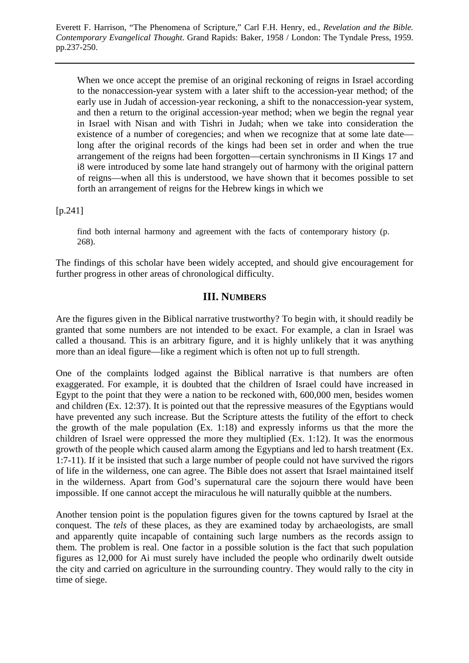When we once accept the premise of an original reckoning of reigns in Israel according to the nonaccession-year system with a later shift to the accession-year method; of the early use in Judah of accession-year reckoning, a shift to the nonaccession-year system, and then a return to the original accession-year method; when we begin the regnal year in Israel with Nisan and with Tishri in Judah; when we take into consideration the existence of a number of coregencies; and when we recognize that at some late date long after the original records of the kings had been set in order and when the true arrangement of the reigns had been forgotten—certain synchronisms in II Kings 17 and i8 were introduced by some late hand strangely out of harmony with the original pattern of reigns—when all this is understood, we have shown that it becomes possible to set forth an arrangement of reigns for the Hebrew kings in which we

[p.241]

find both internal harmony and agreement with the facts of contemporary history (p. 268).

The findings of this scholar have been widely accepted, and should give encouragement for further progress in other areas of chronological difficulty.

#### **III. NUMBERS**

Are the figures given in the Biblical narrative trustworthy? To begin with, it should readily be granted that some numbers are not intended to be exact. For example, a clan in Israel was called a thousand. This is an arbitrary figure, and it is highly unlikely that it was anything more than an ideal figure—like a regiment which is often not up to full strength.

One of the complaints lodged against the Biblical narrative is that numbers are often exaggerated. For example, it is doubted that the children of Israel could have increased in Egypt to the point that they were a nation to be reckoned with, 600,000 men, besides women and children (Ex. 12:37). It is pointed out that the repressive measures of the Egyptians would have prevented any such increase. But the Scripture attests the futility of the effort to check the growth of the male population (Ex. 1:18) and expressly informs us that the more the children of Israel were oppressed the more they multiplied (Ex. 1:12). It was the enormous growth of the people which caused alarm among the Egyptians and led to harsh treatment (Ex. 1:7-11). If it be insisted that such a large number of people could not have survived the rigors of life in the wilderness, one can agree. The Bible does not assert that Israel maintained itself in the wilderness. Apart from God's supernatural care the sojourn there would have been impossible. If one cannot accept the miraculous he will naturally quibble at the numbers.

Another tension point is the population figures given for the towns captured by Israel at the conquest. The *tels* of these places, as they are examined today by archaeologists, are small and apparently quite incapable of containing such large numbers as the records assign to them. The problem is real. One factor in a possible solution is the fact that such population figures as 12,000 for Ai must surely have included the people who ordinarily dwelt outside the city and carried on agriculture in the surrounding country. They would rally to the city in time of siege.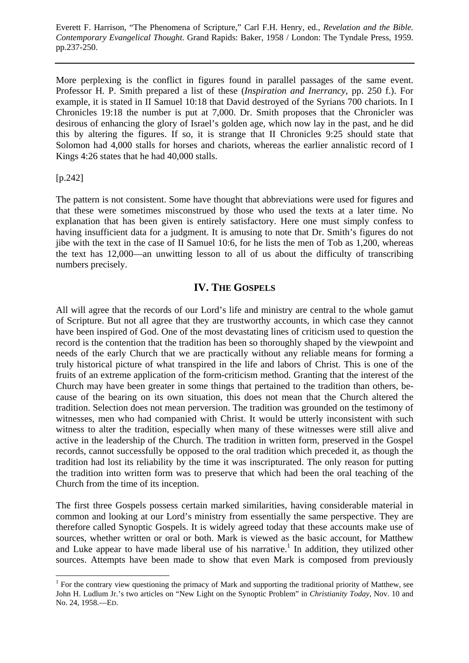More perplexing is the conflict in figures found in parallel passages of the same event. Professor H. P. Smith prepared a list of these (*Inspiration and Inerrancy*, pp. 250 f.). For example, it is stated in II Samuel 10:18 that David destroyed of the Syrians 700 chariots. In I Chronicles 19:18 the number is put at 7,000. Dr. Smith proposes that the Chronicler was desirous of enhancing the glory of Israel's golden age, which now lay in the past, and he did this by altering the figures. If so, it is strange that II Chronicles 9:25 should state that Solomon had 4,000 stalls for horses and chariots, whereas the earlier annalistic record of I Kings 4:26 states that he had 40,000 stalls.

[p.242]

 $\overline{a}$ 

The pattern is not consistent. Some have thought that abbreviations were used for figures and that these were sometimes misconstrued by those who used the texts at a later time. No explanation that has been given is entirely satisfactory. Here one must simply confess to having insufficient data for a judgment. It is amusing to note that Dr. Smith's figures do not jibe with the text in the case of II Samuel 10:6, for he lists the men of Tob as 1,200, whereas the text has 12,000—an unwitting lesson to all of us about the difficulty of transcribing numbers precisely.

#### **IV. THE GOSPELS**

All will agree that the records of our Lord's life and ministry are central to the whole gamut of Scripture. But not all agree that they are trustworthy accounts, in which case they cannot have been inspired of God. One of the most devastating lines of criticism used to question the record is the contention that the tradition has been so thoroughly shaped by the viewpoint and needs of the early Church that we are practically without any reliable means for forming a truly historical picture of what transpired in the life and labors of Christ. This is one of the fruits of an extreme application of the form-criticism method. Granting that the interest of the Church may have been greater in some things that pertained to the tradition than others, because of the bearing on its own situation, this does not mean that the Church altered the tradition. Selection does not mean perversion. The tradition was grounded on the testimony of witnesses, men who had companied with Christ. It would be utterly inconsistent with such witness to alter the tradition, especially when many of these witnesses were still alive and active in the leadership of the Church. The tradition in written form, preserved in the Gospel records, cannot successfully be opposed to the oral tradition which preceded it, as though the tradition had lost its reliability by the time it was inscripturated. The only reason for putting the tradition into written form was to preserve that which had been the oral teaching of the Church from the time of its inception.

The first three Gospels possess certain marked similarities, having considerable material in common and looking at our Lord's ministry from essentially the same perspective. They are therefore called Synoptic Gospels. It is widely agreed today that these accounts make use of sources, whether written or oral or both. Mark is viewed as the basic account, for Matthew and Luke appear to have made liberal use of his narrative.<sup>1</sup> In addition, they utilized other sources. Attempts have been made to show that even Mark is composed from previously

<sup>&</sup>lt;sup>1</sup> For the contrary view questioning the primacy of Mark and supporting the traditional priority of Matthew, see John H. Ludlum Jr.'s two articles on "New Light on the Synoptic Problem" in *Christianity Today*, Nov. 10 and No. 24, 1958.—ED.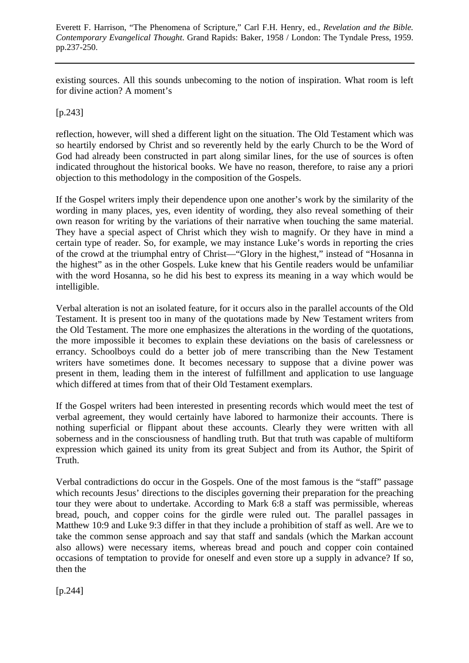existing sources. All this sounds unbecoming to the notion of inspiration. What room is left for divine action? A moment's

[p.243]

reflection, however, will shed a different light on the situation. The Old Testament which was so heartily endorsed by Christ and so reverently held by the early Church to be the Word of God had already been constructed in part along similar lines, for the use of sources is often indicated throughout the historical books. We have no reason, therefore, to raise any a priori objection to this methodology in the composition of the Gospels.

If the Gospel writers imply their dependence upon one another's work by the similarity of the wording in many places, yes, even identity of wording, they also reveal something of their own reason for writing by the variations of their narrative when touching the same material. They have a special aspect of Christ which they wish to magnify. Or they have in mind a certain type of reader. So, for example, we may instance Luke's words in reporting the cries of the crowd at the triumphal entry of Christ—"Glory in the highest," instead of "Hosanna in the highest" as in the other Gospels. Luke knew that his Gentile readers would be unfamiliar with the word Hosanna, so he did his best to express its meaning in a way which would be intelligible.

Verbal alteration is not an isolated feature, for it occurs also in the parallel accounts of the Old Testament. It is present too in many of the quotations made by New Testament writers from the Old Testament. The more one emphasizes the alterations in the wording of the quotations, the more impossible it becomes to explain these deviations on the basis of carelessness or errancy. Schoolboys could do a better job of mere transcribing than the New Testament writers have sometimes done. It becomes necessary to suppose that a divine power was present in them, leading them in the interest of fulfillment and application to use language which differed at times from that of their Old Testament exemplars.

If the Gospel writers had been interested in presenting records which would meet the test of verbal agreement, they would certainly have labored to harmonize their accounts. There is nothing superficial or flippant about these accounts. Clearly they were written with all soberness and in the consciousness of handling truth. But that truth was capable of multiform expression which gained its unity from its great Subject and from its Author, the Spirit of Truth.

Verbal contradictions do occur in the Gospels. One of the most famous is the "staff" passage which recounts Jesus' directions to the disciples governing their preparation for the preaching tour they were about to undertake. According to Mark 6:8 a staff was permissible, whereas bread, pouch, and copper coins for the girdle were ruled out. The parallel passages in Matthew 10:9 and Luke 9:3 differ in that they include a prohibition of staff as well. Are we to take the common sense approach and say that staff and sandals (which the Markan account also allows) were necessary items, whereas bread and pouch and copper coin contained occasions of temptation to provide for oneself and even store up a supply in advance? If so, then the

[p.244]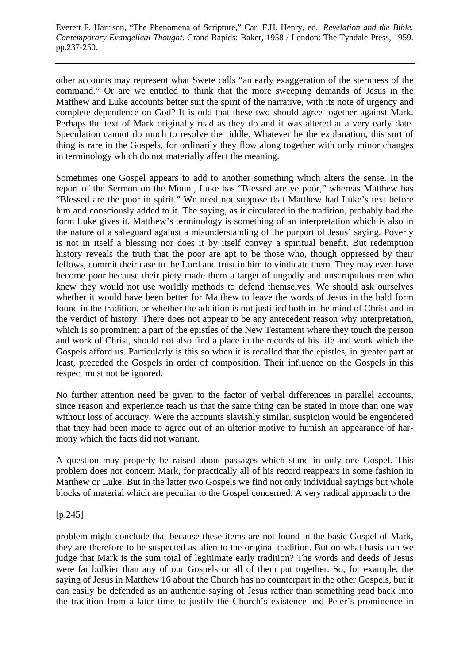other accounts may represent what Swete calls "an early exaggeration of the sternness of the command." Or are we entitled to think that the more sweeping demands of Jesus in the Matthew and Luke accounts better suit the spirit of the narrative, with its note of urgency and complete dependence on God? It is odd that these two should agree together against Mark. Perhaps the text of Mark originally read as they do and it was altered at a very early date. Speculation cannot do much to resolve the riddle. Whatever be the explanation, this sort of thing is rare in the Gospels, for ordinarily they flow along together with only minor changes in terminology which do not materially affect the meaning.

Sometimes one Gospel appears to add to another something which alters the sense. In the report of the Sermon on the Mount, Luke has "Blessed are ye poor," whereas Matthew has "Blessed are the poor in spirit." We need not suppose that Matthew had Luke's text before him and consciously added to it. The saying, as it circulated in the tradition, probably had the form Luke gives it. Matthew's terminology is something of an interpretation which is also in the nature of a safeguard against a misunderstanding of the purport of Jesus' saying. Poverty is not in itself a blessing nor does it by itself convey a spiritual benefit. But redemption history reveals the truth that the poor are apt to be those who, though oppressed by their fellows, commit their case to the Lord and trust in him to vindicate them. They may even have become poor because their piety made them a target of ungodly and unscrupulous men who knew they would not use worldly methods to defend themselves. We should ask ourselves whether it would have been better for Matthew to leave the words of Jesus in the bald form found in the tradition, or whether the addition is not justified both in the mind of Christ and in the verdict of history. There does not appear to be any antecedent reason why interpretation, which is so prominent a part of the epistles of the New Testament where they touch the person and work of Christ, should not also find a place in the records of his life and work which the Gospels afford us. Particularly is this so when it is recalled that the epistles, in greater part at least, preceded the Gospels in order of composition. Their influence on the Gospels in this respect must not be ignored.

No further attention need be given to the factor of verbal differences in parallel accounts, since reason and experience teach us that the same thing can be stated in more than one way without loss of accuracy. Were the accounts slavishly similar, suspicion would be engendered that they had been made to agree out of an ulterior motive to furnish an appearance of harmony which the facts did not warrant.

A question may properly be raised about passages which stand in only one Gospel. This problem does not concern Mark, for practically all of his record reappears in some fashion in Matthew or Luke. But in the latter two Gospels we find not only individual sayings but whole blocks of material which are peculiar to the Gospel concerned. A very radical approach to the

#### [p.245]

problem might conclude that because these items are not found in the basic Gospel of Mark, they are therefore to be suspected as alien to the original tradition. But on what basis can we judge that Mark is the sum total of legitimate early tradition? The words and deeds of Jesus were far bulkier than any of our Gospels or all of them put together. So, for example, the saying of Jesus in Matthew 16 about the Church has no counterpart in the other Gospels, but it can easily be defended as an authentic saying of Jesus rather than something read back into the tradition from a later time to justify the Church's existence and Peter's prominence in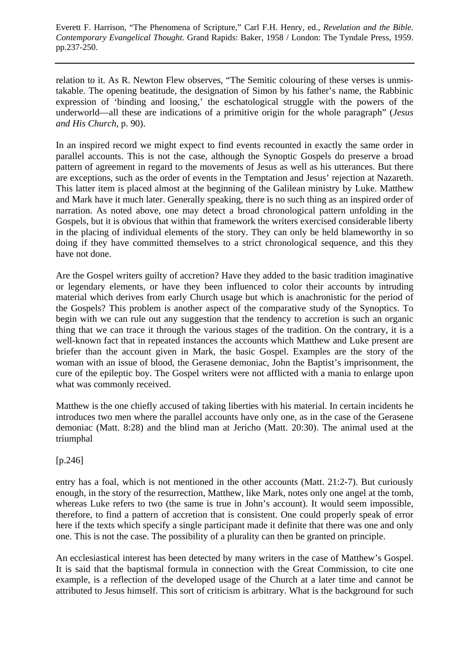relation to it. As R. Newton Flew observes, "The Semitic colouring of these verses is unmistakable. The opening beatitude, the designation of Simon by his father's name, the Rabbinic expression of 'binding and loosing,' the eschatological struggle with the powers of the underworld—all these are indications of a primitive origin for the whole paragraph" (*Jesus and His Church*, p. 90).

In an inspired record we might expect to find events recounted in exactly the same order in parallel accounts. This is not the case, although the Synoptic Gospels do preserve a broad pattern of agreement in regard to the movements of Jesus as well as his utterances. But there are exceptions, such as the order of events in the Temptation and Jesus' rejection at Nazareth. This latter item is placed almost at the beginning of the Galilean ministry by Luke. Matthew and Mark have it much later. Generally speaking, there is no such thing as an inspired order of narration. As noted above, one may detect a broad chronological pattern unfolding in the Gospels, but it is obvious that within that framework the writers exercised considerable liberty in the placing of individual elements of the story. They can only be held blameworthy in so doing if they have committed themselves to a strict chronological sequence, and this they have not done.

Are the Gospel writers guilty of accretion? Have they added to the basic tradition imaginative or legendary elements, or have they been influenced to color their accounts by intruding material which derives from early Church usage but which is anachronistic for the period of the Gospels? This problem is another aspect of the comparative study of the Synoptics. To begin with we can rule out any suggestion that the tendency to accretion is such an organic thing that we can trace it through the various stages of the tradition. On the contrary, it is a well-known fact that in repeated instances the accounts which Matthew and Luke present are briefer than the account given in Mark, the basic Gospel. Examples are the story of the woman with an issue of blood, the Gerasene demoniac, John the Baptist's imprisonment, the cure of the epileptic boy. The Gospel writers were not afflicted with a mania to enlarge upon what was commonly received.

Matthew is the one chiefly accused of taking liberties with his material. In certain incidents he introduces two men where the parallel accounts have only one, as in the case of the Gerasene demoniac (Matt. 8:28) and the blind man at Jericho (Matt. 20:30). The animal used at the triumphal

#### [p.246]

entry has a foal, which is not mentioned in the other accounts (Matt. 21:2-7). But curiously enough, in the story of the resurrection, Matthew, like Mark, notes only one angel at the tomb, whereas Luke refers to two (the same is true in John's account). It would seem impossible, therefore, to find a pattern of accretion that is consistent. One could properly speak of error here if the texts which specify a single participant made it definite that there was one and only one. This is not the case. The possibility of a plurality can then be granted on principle.

An ecclesiastical interest has been detected by many writers in the case of Matthew's Gospel. It is said that the baptismal formula in connection with the Great Commission, to cite one example, is a reflection of the developed usage of the Church at a later time and cannot be attributed to Jesus himself. This sort of criticism is arbitrary. What is the background for such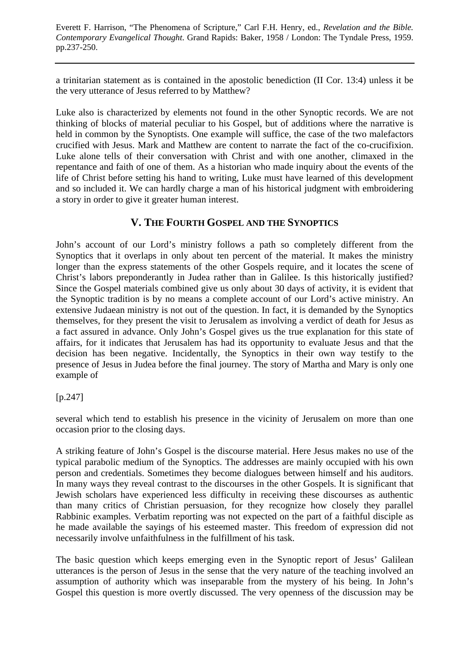a trinitarian statement as is contained in the apostolic benediction (II Cor. 13:4) unless it be the very utterance of Jesus referred to by Matthew?

Luke also is characterized by elements not found in the other Synoptic records. We are not thinking of blocks of material peculiar to his Gospel, but of additions where the narrative is held in common by the Synoptists. One example will suffice, the case of the two malefactors crucified with Jesus. Mark and Matthew are content to narrate the fact of the co-crucifixion. Luke alone tells of their conversation with Christ and with one another, climaxed in the repentance and faith of one of them. As a historian who made inquiry about the events of the life of Christ before setting his hand to writing, Luke must have learned of this development and so included it. We can hardly charge a man of his historical judgment with embroidering a story in order to give it greater human interest.

### **V. THE FOURTH GOSPEL AND THE SYNOPTICS**

John's account of our Lord's ministry follows a path so completely different from the Synoptics that it overlaps in only about ten percent of the material. It makes the ministry longer than the express statements of the other Gospels require, and it locates the scene of Christ's labors preponderantly in Judea rather than in Galilee. Is this historically justified? Since the Gospel materials combined give us only about 30 days of activity, it is evident that the Synoptic tradition is by no means a complete account of our Lord's active ministry. An extensive Judaean ministry is not out of the question. In fact, it is demanded by the Synoptics themselves, for they present the visit to Jerusalem as involving a verdict of death for Jesus as a fact assured in advance. Only John's Gospel gives us the true explanation for this state of affairs, for it indicates that Jerusalem has had its opportunity to evaluate Jesus and that the decision has been negative. Incidentally, the Synoptics in their own way testify to the presence of Jesus in Judea before the final journey. The story of Martha and Mary is only one example of

[p.247]

several which tend to establish his presence in the vicinity of Jerusalem on more than one occasion prior to the closing days.

A striking feature of John's Gospel is the discourse material. Here Jesus makes no use of the typical parabolic medium of the Synoptics. The addresses are mainly occupied with his own person and credentials. Sometimes they become dialogues between himself and his auditors. In many ways they reveal contrast to the discourses in the other Gospels. It is significant that Jewish scholars have experienced less difficulty in receiving these discourses as authentic than many critics of Christian persuasion, for they recognize how closely they parallel Rabbinic examples. Verbatim reporting was not expected on the part of a faithful disciple as he made available the sayings of his esteemed master. This freedom of expression did not necessarily involve unfaithfulness in the fulfillment of his task.

The basic question which keeps emerging even in the Synoptic report of Jesus' Galilean utterances is the person of Jesus in the sense that the very nature of the teaching involved an assumption of authority which was inseparable from the mystery of his being. In John's Gospel this question is more overtly discussed. The very openness of the discussion may be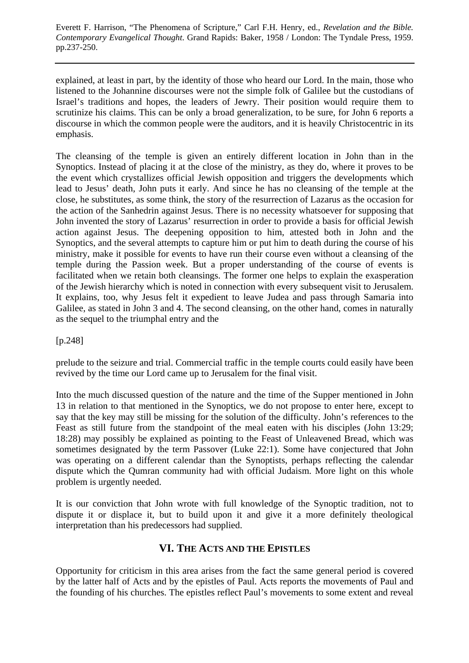explained, at least in part, by the identity of those who heard our Lord. In the main, those who listened to the Johannine discourses were not the simple folk of Galilee but the custodians of Israel's traditions and hopes, the leaders of Jewry. Their position would require them to scrutinize his claims. This can be only a broad generalization, to be sure, for John 6 reports a discourse in which the common people were the auditors, and it is heavily Christocentric in its emphasis.

The cleansing of the temple is given an entirely different location in John than in the Synoptics. Instead of placing it at the close of the ministry, as they do, where it proves to be the event which crystallizes official Jewish opposition and triggers the developments which lead to Jesus' death, John puts it early. And since he has no cleansing of the temple at the close, he substitutes, as some think, the story of the resurrection of Lazarus as the occasion for the action of the Sanhedrin against Jesus. There is no necessity whatsoever for supposing that John invented the story of Lazarus' resurrection in order to provide a basis for official Jewish action against Jesus. The deepening opposition to him, attested both in John and the Synoptics, and the several attempts to capture him or put him to death during the course of his ministry, make it possible for events to have run their course even without a cleansing of the temple during the Passion week. But a proper understanding of the course of events is facilitated when we retain both cleansings. The former one helps to explain the exasperation of the Jewish hierarchy which is noted in connection with every subsequent visit to Jerusalem. It explains, too, why Jesus felt it expedient to leave Judea and pass through Samaria into Galilee, as stated in John 3 and 4. The second cleansing, on the other hand, comes in naturally as the sequel to the triumphal entry and the

[p.248]

prelude to the seizure and trial. Commercial traffic in the temple courts could easily have been revived by the time our Lord came up to Jerusalem for the final visit.

Into the much discussed question of the nature and the time of the Supper mentioned in John 13 in relation to that mentioned in the Synoptics, we do not propose to enter here, except to say that the key may still be missing for the solution of the difficulty. John's references to the Feast as still future from the standpoint of the meal eaten with his disciples (John 13:29; 18:28) may possibly be explained as pointing to the Feast of Unleavened Bread, which was sometimes designated by the term Passover (Luke 22:1). Some have conjectured that John was operating on a different calendar than the Synoptists, perhaps reflecting the calendar dispute which the Qumran community had with official Judaism. More light on this whole problem is urgently needed.

It is our conviction that John wrote with full knowledge of the Synoptic tradition, not to dispute it or displace it, but to build upon it and give it a more definitely theological interpretation than his predecessors had supplied.

# **VI. THE ACTS AND THE EPISTLES**

Opportunity for criticism in this area arises from the fact the same general period is covered by the latter half of Acts and by the epistles of Paul. Acts reports the movements of Paul and the founding of his churches. The epistles reflect Paul's movements to some extent and reveal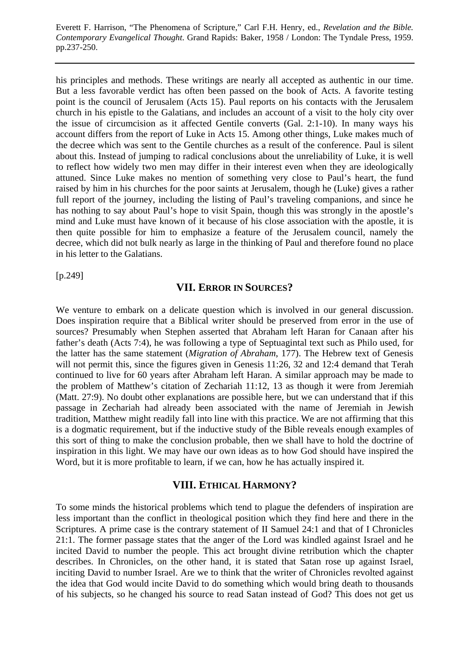his principles and methods. These writings are nearly all accepted as authentic in our time. But a less favorable verdict has often been passed on the book of Acts. A favorite testing point is the council of Jerusalem (Acts 15). Paul reports on his contacts with the Jerusalem church in his epistle to the Galatians, and includes an account of a visit to the holy city over the issue of circumcision as it affected Gentile converts (Gal. 2:1-10). In many ways his account differs from the report of Luke in Acts 15. Among other things, Luke makes much of the decree which was sent to the Gentile churches as a result of the conference. Paul is silent about this. Instead of jumping to radical conclusions about the unreliability of Luke, it is well to reflect how widely two men may differ in their interest even when they are ideologically attuned. Since Luke makes no mention of something very close to Paul's heart, the fund raised by him in his churches for the poor saints at Jerusalem, though he (Luke) gives a rather full report of the journey, including the listing of Paul's traveling companions, and since he has nothing to say about Paul's hope to visit Spain, though this was strongly in the apostle's mind and Luke must have known of it because of his close association with the apostle, it is then quite possible for him to emphasize a feature of the Jerusalem council, namely the decree, which did not bulk nearly as large in the thinking of Paul and therefore found no place in his letter to the Galatians.

[p.249]

#### **VII. ERROR IN SOURCES?**

We venture to embark on a delicate question which is involved in our general discussion. Does inspiration require that a Biblical writer should be preserved from error in the use of sources? Presumably when Stephen asserted that Abraham left Haran for Canaan after his father's death (Acts 7:4), he was following a type of Septuagintal text such as Philo used, for the latter has the same statement (*Migration of Abraham*, 177). The Hebrew text of Genesis will not permit this, since the figures given in Genesis 11:26, 32 and 12:4 demand that Terah continued to live for 60 years after Abraham left Haran. A similar approach may be made to the problem of Matthew's citation of Zechariah 11:12, 13 as though it were from Jeremiah (Matt. 27:9). No doubt other explanations are possible here, but we can understand that if this passage in Zechariah had already been associated with the name of Jeremiah in Jewish tradition, Matthew might readily fall into line with this practice. We are not affirming that this is a dogmatic requirement, but if the inductive study of the Bible reveals enough examples of this sort of thing to make the conclusion probable, then we shall have to hold the doctrine of inspiration in this light. We may have our own ideas as to how God should have inspired the Word, but it is more profitable to learn, if we can, how he has actually inspired it.

#### **VIII. ETHICAL HARMONY?**

To some minds the historical problems which tend to plague the defenders of inspiration are less important than the conflict in theological position which they find here and there in the Scriptures. A prime case is the contrary statement of II Samuel 24:1 and that of I Chronicles 21:1. The former passage states that the anger of the Lord was kindled against Israel and he incited David to number the people. This act brought divine retribution which the chapter describes. In Chronicles, on the other hand, it is stated that Satan rose up against Israel, inciting David to number Israel. Are we to think that the writer of Chronicles revolted against the idea that God would incite David to do something which would bring death to thousands of his subjects, so he changed his source to read Satan instead of God? This does not get us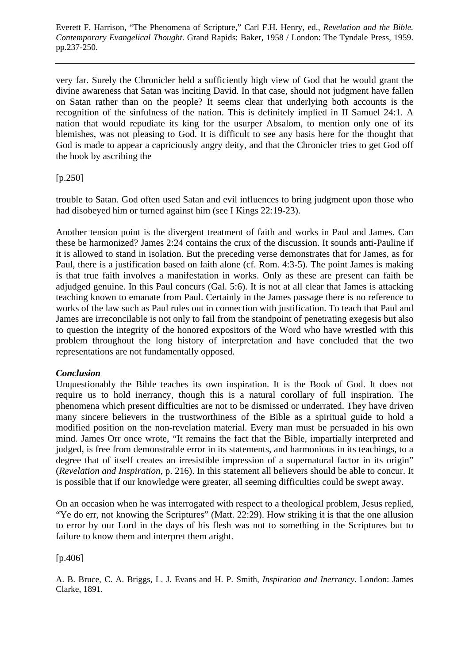very far. Surely the Chronicler held a sufficiently high view of God that he would grant the divine awareness that Satan was inciting David. In that case, should not judgment have fallen on Satan rather than on the people? It seems clear that underlying both accounts is the recognition of the sinfulness of the nation. This is definitely implied in II Samuel 24:1. A nation that would repudiate its king for the usurper Absalom, to mention only one of its blemishes, was not pleasing to God. It is difficult to see any basis here for the thought that God is made to appear a capriciously angry deity, and that the Chronicler tries to get God off the hook by ascribing the

 $[p.250]$ 

trouble to Satan. God often used Satan and evil influences to bring judgment upon those who had disobeyed him or turned against him (see I Kings 22:19-23).

Another tension point is the divergent treatment of faith and works in Paul and James. Can these be harmonized? James 2:24 contains the crux of the discussion. It sounds anti-Pauline if it is allowed to stand in isolation. But the preceding verse demonstrates that for James, as for Paul, there is a justification based on faith alone (cf. Rom. 4:3-5). The point James is making is that true faith involves a manifestation in works. Only as these are present can faith be adjudged genuine. In this Paul concurs (Gal. 5:6). It is not at all clear that James is attacking teaching known to emanate from Paul. Certainly in the James passage there is no reference to works of the law such as Paul rules out in connection with justification. To teach that Paul and James are irreconcilable is not only to fail from the standpoint of penetrating exegesis but also to question the integrity of the honored expositors of the Word who have wrestled with this problem throughout the long history of interpretation and have concluded that the two representations are not fundamentally opposed.

#### *Conclusion*

Unquestionably the Bible teaches its own inspiration. It is the Book of God. It does not require us to hold inerrancy, though this is a natural corollary of full inspiration. The phenomena which present difficulties are not to be dismissed or underrated. They have driven many sincere believers in the trustworthiness of the Bible as a spiritual guide to hold a modified position on the non-revelation material. Every man must be persuaded in his own mind. James Orr once wrote, "It remains the fact that the Bible, impartially interpreted and judged, is free from demonstrable error in its statements, and harmonious in its teachings, to a degree that of itself creates an irresistible impression of a supernatural factor in its origin" (*Revelation and Inspiration*, p. 216). In this statement all believers should be able to concur. It is possible that if our knowledge were greater, all seeming difficulties could be swept away.

On an occasion when he was interrogated with respect to a theological problem, Jesus replied, "Ye do err, not knowing the Scriptures" (Matt. 22:29). How striking it is that the one allusion to error by our Lord in the days of his flesh was not to something in the Scriptures but to failure to know them and interpret them aright.

[p.406]

A. B. Bruce, C. A. Briggs, L. J. Evans and H. P. Smith, *Inspiration and Inerrancy*. London: James Clarke, 1891.